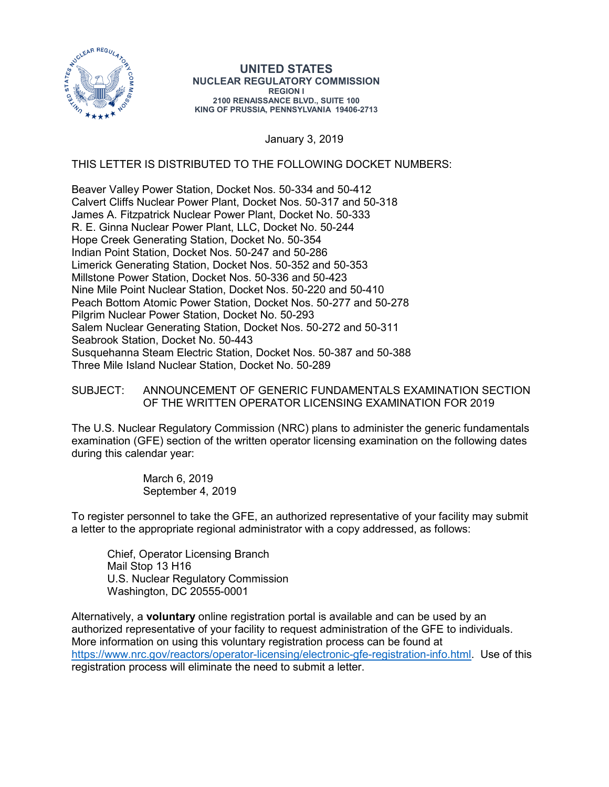

## **UNITED STATES NUCLEAR REGULATORY COMMISSION REGION I 2100 RENAISSANCE BLVD., SUITE 100 KING OF PRUSSIA, PENNSYLVANIA 19406-2713**

January 3, 2019

THIS LETTER IS DISTRIBUTED TO THE FOLLOWING DOCKET NUMBERS:

Beaver Valley Power Station, Docket Nos. 50-334 and 50-412 Calvert Cliffs Nuclear Power Plant, Docket Nos. 50-317 and 50-318 James A. Fitzpatrick Nuclear Power Plant, Docket No. 50-333 R. E. Ginna Nuclear Power Plant, LLC, Docket No. 50-244 Hope Creek Generating Station, Docket No. 50-354 Indian Point Station, Docket Nos. 50-247 and 50-286 Limerick Generating Station, Docket Nos. 50-352 and 50-353 Millstone Power Station, Docket Nos. 50-336 and 50-423 Nine Mile Point Nuclear Station, Docket Nos. 50-220 and 50-410 Peach Bottom Atomic Power Station, Docket Nos. 50-277 and 50-278 Pilgrim Nuclear Power Station, Docket No. 50-293 Salem Nuclear Generating Station, Docket Nos. 50-272 and 50-311 Seabrook Station, Docket No. 50-443 Susquehanna Steam Electric Station, Docket Nos. 50-387 and 50-388 Three Mile Island Nuclear Station, Docket No. 50-289

## SUBJECT: ANNOUNCEMENT OF GENERIC FUNDAMENTALS EXAMINATION SECTION OF THE WRITTEN OPERATOR LICENSING EXAMINATION FOR 2019

The U.S. Nuclear Regulatory Commission (NRC) plans to administer the generic fundamentals examination (GFE) section of the written operator licensing examination on the following dates during this calendar year:

> March 6, 2019 September 4, 2019

To register personnel to take the GFE, an authorized representative of your facility may submit a letter to the appropriate regional administrator with a copy addressed, as follows:

Chief, Operator Licensing Branch Mail Stop 13 H16 U.S. Nuclear Regulatory Commission Washington, DC 20555-0001

Alternatively, a **voluntary** online registration portal is available and can be used by an authorized representative of your facility to request administration of the GFE to individuals. More information on using this voluntary registration process can be found at [https://www.nrc.gov/reactors/operator-licensing/electronic-gfe-registration-info.html.](https://www.nrc.gov/reactors/operator-licensing/electronic-gfe-registration-info.html) Use of this registration process will eliminate the need to submit a letter.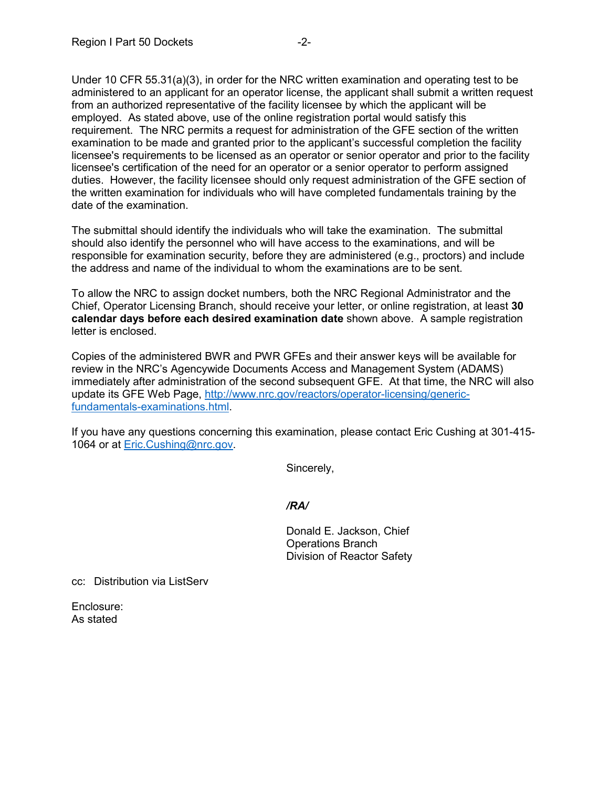Under 10 CFR 55.31(a)(3), in order for the NRC written examination and operating test to be administered to an applicant for an operator license, the applicant shall submit a written request from an authorized representative of the facility licensee by which the applicant will be employed. As stated above, use of the online registration portal would satisfy this requirement. The NRC permits a request for administration of the GFE section of the written examination to be made and granted prior to the applicant's successful completion the facility licensee's requirements to be licensed as an operator or senior operator and prior to the facility licensee's certification of the need for an operator or a senior operator to perform assigned duties. However, the facility licensee should only request administration of the GFE section of the written examination for individuals who will have completed fundamentals training by the date of the examination.

The submittal should identify the individuals who will take the examination. The submittal should also identify the personnel who will have access to the examinations, and will be responsible for examination security, before they are administered (e.g., proctors) and include the address and name of the individual to whom the examinations are to be sent.

To allow the NRC to assign docket numbers, both the NRC Regional Administrator and the Chief, Operator Licensing Branch, should receive your letter, or online registration, at least **30 calendar days before each desired examination date** shown above. A sample registration letter is enclosed.

Copies of the administered BWR and PWR GFEs and their answer keys will be available for review in the NRC's Agencywide Documents Access and Management System (ADAMS) immediately after administration of the second subsequent GFE. At that time, the NRC will also update its GFE Web Page, [http://www.nrc.gov/reactors/operator-licensing/generic](http://www.nrc.gov/reactors/operator-licensing/generic-fundamentals-examinations.html)[fundamentals-examinations.html.](http://www.nrc.gov/reactors/operator-licensing/generic-fundamentals-examinations.html)

If you have any questions concerning this examination, please contact Eric Cushing at 301-415- 1064 or at [Eric.Cushing@nrc.gov.](mailto:Eric.Cushing@nrc.gov)

Sincerely,

*/RA/*

Donald E. Jackson, Chief Operations Branch Division of Reactor Safety

cc: Distribution via ListServ

Enclosure: As stated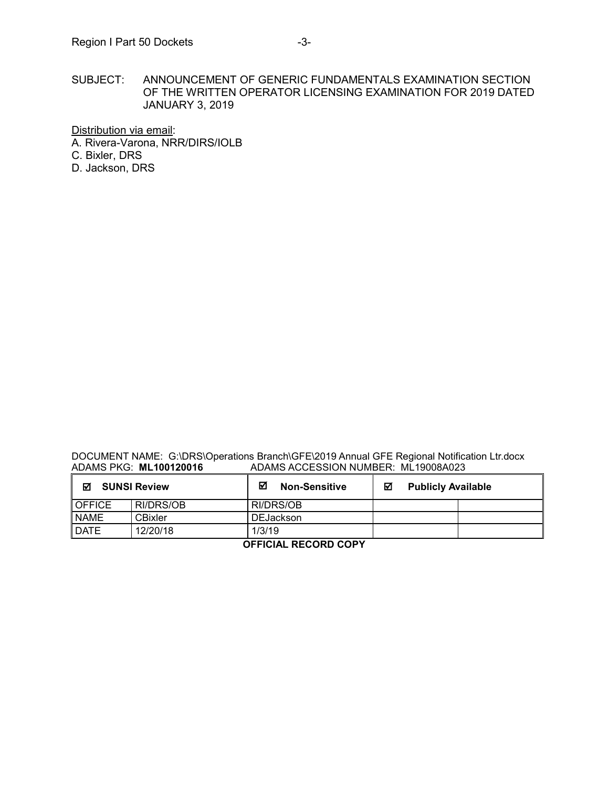SUBJECT: ANNOUNCEMENT OF GENERIC FUNDAMENTALS EXAMINATION SECTION OF THE WRITTEN OPERATOR LICENSING EXAMINATION FOR 2019 DATED JANUARY 3, 2019

Distribution via email:

A. Rivera-Varona, NRR/DIRS/IOLB C. Bixler, DRS

D. Jackson, DRS

DOCUMENT NAME: G:\DRS\Operations Branch\GFE\2019 Annual GFE Regional Notification Ltr.docx<br>ADAMS PKG: ML100120016 ADAMS ACCESSION NUMBER: ML19008A023 ADAMS PKG: **ML100120016** ADAMS ACCESSION NUMBER: ML19008A023

| ☑<br><b>SUNSI Review</b> |           | ☑<br><b>Non-Sensitive</b> | <b>Publicly Available</b><br>М |  |  |
|--------------------------|-----------|---------------------------|--------------------------------|--|--|
| <b>OFFICE</b>            | RI/DRS/OB | RI/DRS/OB                 |                                |  |  |
| <b>NAME</b>              | CBixler   | <b>DEJackson</b>          |                                |  |  |
| <b>DATE</b>              | 12/20/18  | 1/3/19                    |                                |  |  |
| -------<br>-----         |           |                           |                                |  |  |

**OFFICIAL RECORD COPY**